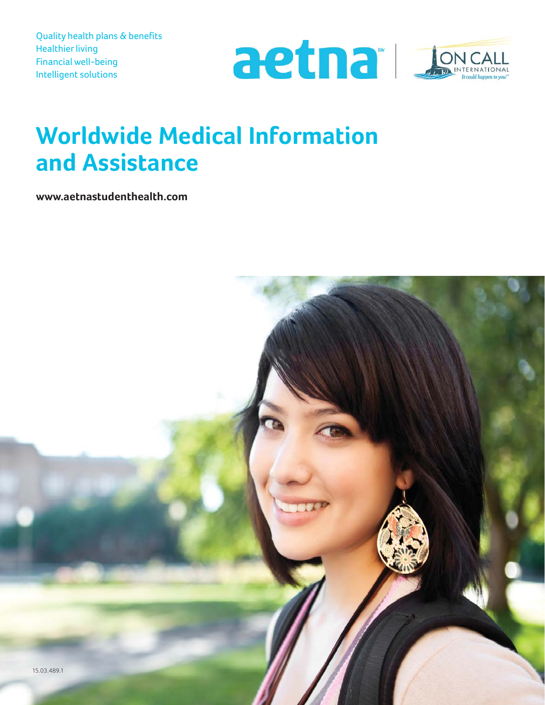Quality health plans & benefits Healthier living Financial well-being Intelligent solutions





# **Worldwide Medical Information and Assistance**

**www.aetnastudenthealth.com**